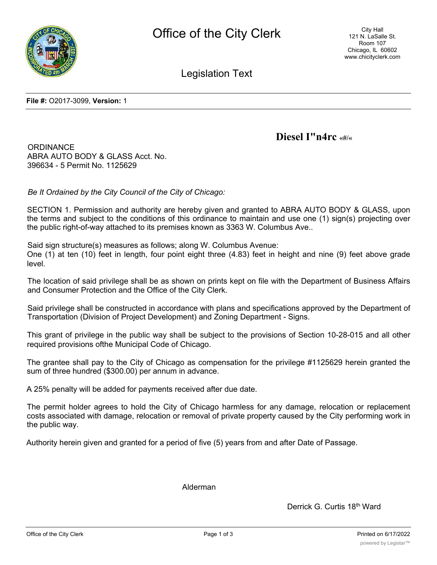

Legislation Text

**File #:** O2017-3099, **Version:** 1

**Diesel I"n4rc «#/«**

**ORDINANCE** ABRA AUTO BODY & GLASS Acct. No. 396634 - 5 Permit No. 1125629

*Be It Ordained by the City Council of the City of Chicago:*

SECTION 1. Permission and authority are hereby given and granted to ABRA AUTO BODY & GLASS, upon the terms and subject to the conditions of this ordinance to maintain and use one (1) sign(s) projecting over the public right-of-way attached to its premises known as 3363 W. Columbus Ave..

Said sign structure(s) measures as follows; along W. Columbus Avenue:

One (1) at ten (10) feet in length, four point eight three (4.83) feet in height and nine (9) feet above grade level.

The location of said privilege shall be as shown on prints kept on file with the Department of Business Affairs and Consumer Protection and the Office of the City Clerk.

Said privilege shall be constructed in accordance with plans and specifications approved by the Department of Transportation (Division of Project Development) and Zoning Department - Signs.

This grant of privilege in the public way shall be subject to the provisions of Section 10-28-015 and all other required provisions ofthe Municipal Code of Chicago.

The grantee shall pay to the City of Chicago as compensation for the privilege #1125629 herein granted the sum of three hundred (\$300.00) per annum in advance.

A 25% penalty will be added for payments received after due date.

The permit holder agrees to hold the City of Chicago harmless for any damage, relocation or replacement costs associated with damage, relocation or removal of private property caused by the City performing work in the public way.

Authority herein given and granted for a period of five (5) years from and after Date of Passage.

Alderman

Derrick G. Curtis 18<sup>th</sup> Ward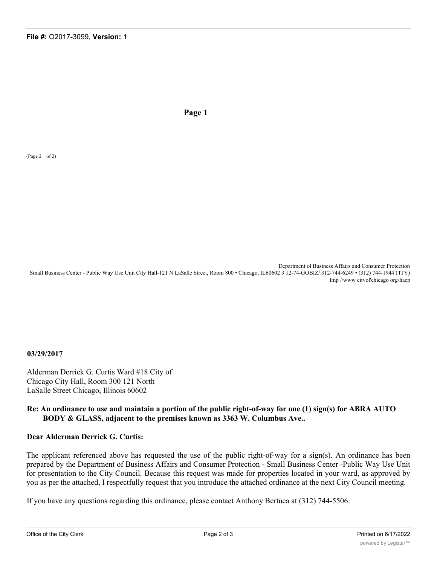**Page 1**

(Page 2 of 2)

Department ol Business Affairs and Consumer Protection Small Business Center - Public Way Use Unit City Hall-121 N LaSalle Street, Room 800 • Chicago, IL60602 3 12-74-GOBIZ/ 312-744-6249 • (312) 744-1944 ('ITY) Imp //www citvol'chicago org/hacp

**03/29/2017**

Alderman Derrick G. Curtis Ward #18 City of Chicago City Hall, Room 300 121 North LaSalle Street Chicago, Illinois 60602

## **Re: An ordinance to use and maintain a portion of the public right-of-way for one (1) sign(s) for ABRA AUTO BODY & GLASS, adjacent to the premises known as 3363 W. Columbus Ave..**

## **Dear Alderman Derrick G. Curtis:**

The applicant referenced above has requested the use of the public right-of-way for a sign(s). An ordinance has been prepared by the Department of Business Affairs and Consumer Protection - Small Business Center -Public Way Use Unit for presentation to the City Council. Because this request was made for properties located in your ward, as approved by you as per the attached, I respectfully request that you introduce the attached ordinance at the next City Council meeting.

If you have any questions regarding this ordinance, please contact Anthony Bertuca at (312) 744-5506.